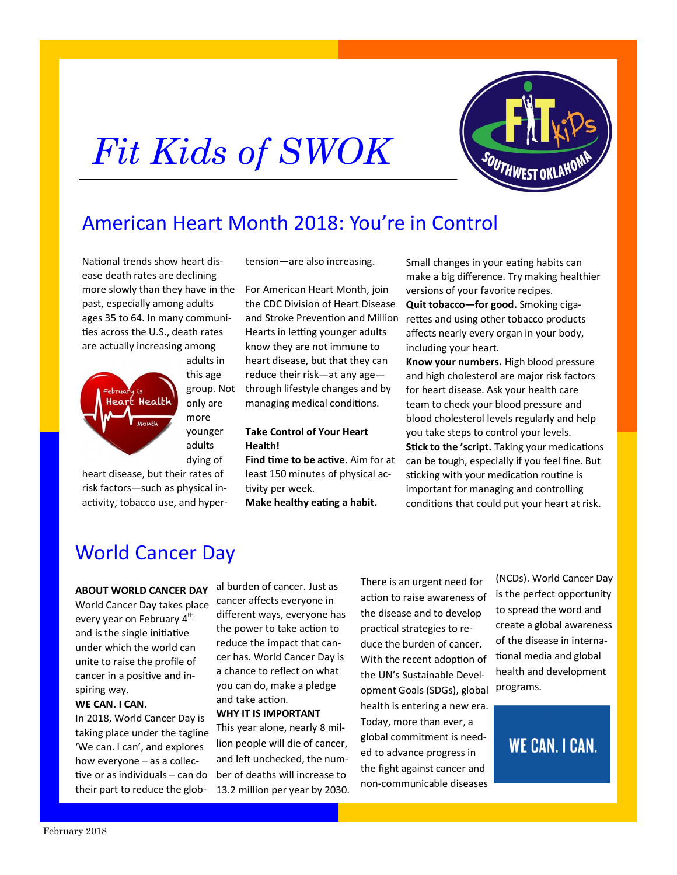# *Fit Kids of SWOK*



# American Heart Month 2018: You're in Control

National trends show heart disease death rates are declining more slowly than they have in the past, especially among adults ages 35 to 64. In many communities across the U.S., death rates are actually increasing among



adults in this age group. Not only are more younger adults dying of

heart disease, but their rates of risk factors—such as physical inactivity, tobacco use, and hypertension—are also increasing.

For American Heart Month, join the CDC Division of Heart Disease and Stroke Prevention and Million Hearts in letting younger adults know they are not immune to heart disease, but that they can reduce their risk—at any age through lifestyle changes and by managing medical conditions.

#### **Take Control of Your Heart Health!**

**Find time to be active**. Aim for at least 150 minutes of physical activity per week.

**Make healthy eating a habit.** 

Small changes in your eating habits can make a big difference. Try making healthier versions of your favorite recipes. **Quit tobacco—for good.** Smoking cigarettes and using other tobacco products affects nearly every organ in your body, including your heart.

**Know your numbers.** High blood pressure and high cholesterol are major risk factors for heart disease. Ask your health care team to check your blood pressure and blood cholesterol levels regularly and help you take steps to control your levels.

**Stick to the 'script.** Taking your medications can be tough, especially if you feel fine. But sticking with your medication routine is important for managing and controlling conditions that could put your heart at risk.

## World Cancer Day

#### **ABOUT WORLD CANCER DAY**

World Cancer Day takes place every year on February 4<sup>th</sup> and is the single initiative under which the world can unite to raise the profile of cancer in a positive and inspiring way.

#### **WE CAN. I CAN.**

In 2018, World Cancer Day is taking place under the tagline 'We can. I can', and explores how everyone – as a collective or as individuals – can do their part to reduce the global burden of cancer. Just as cancer affects everyone in different ways, everyone has the power to take action to reduce the impact that cancer has. World Cancer Day is a chance to reflect on what you can do, make a pledge and take action.

#### **WHY IT IS IMPORTANT**

This year alone, nearly 8 million people will die of cancer, and left unchecked, the number of deaths will increase to 13.2 million per year by 2030. There is an urgent need for action to raise awareness of the disease and to develop practical strategies to reduce the burden of cancer. With the recent adoption of the UN's Sustainable Development Goals (SDGs), global Programs. health is entering a new era. Today, more than ever, a global commitment is needed to advance progress in the fight against cancer and non-communicable diseases

(NCDs). World Cancer Day is the perfect opportunity to spread the word and create a global awareness of the disease in international media and global health and development

## **WE CAN. I CAN.**

February 2018